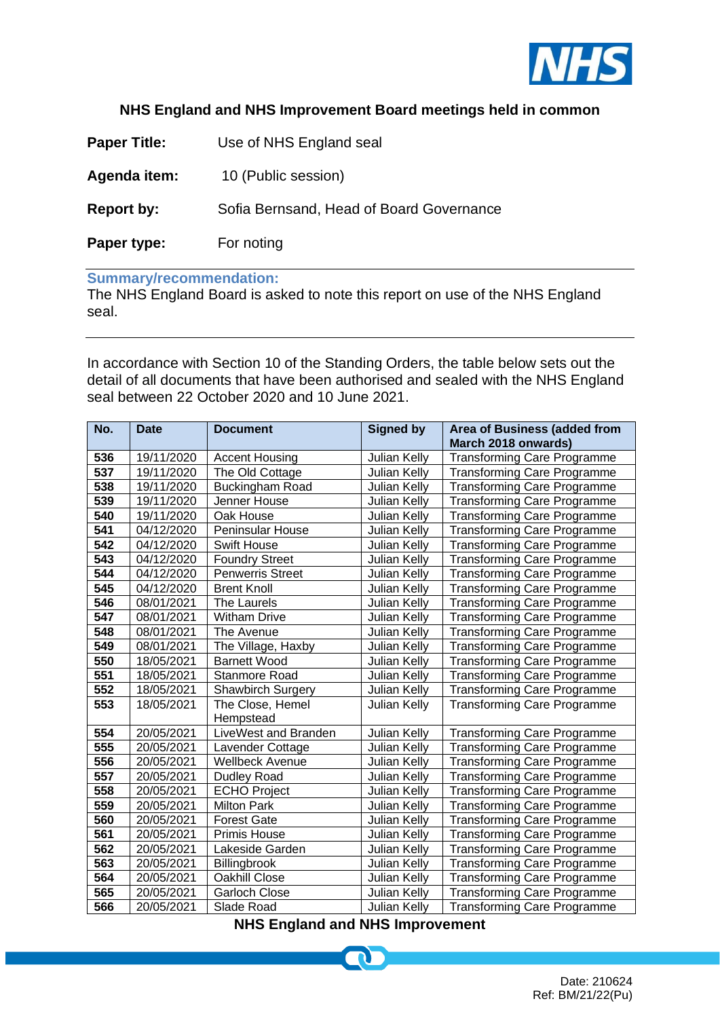

## **NHS England and NHS Improvement Board meetings held in common**

| <b>Paper Title:</b> | Use of NHS England seal                  |  |  |
|---------------------|------------------------------------------|--|--|
| Agenda item:        | 10 (Public session)                      |  |  |
| <b>Report by:</b>   | Sofia Bernsand, Head of Board Governance |  |  |
| Paper type:         | For noting                               |  |  |

## **Summary/recommendation:**

The NHS England Board is asked to note this report on use of the NHS England seal.

In accordance with Section 10 of the Standing Orders, the table below sets out the detail of all documents that have been authorised and sealed with the NHS England seal between 22 October 2020 and 10 June 2021.

| No.              | <b>Date</b> | <b>Document</b>               | <b>Signed by</b>    | <b>Area of Business (added from</b><br>March 2018 onwards) |
|------------------|-------------|-------------------------------|---------------------|------------------------------------------------------------|
| 536              | 19/11/2020  | <b>Accent Housing</b>         | Julian Kelly        | Transforming Care Programme                                |
| 537              | 19/11/2020  | The Old Cottage               | Julian Kelly        | Transforming Care Programme                                |
| 538              | 19/11/2020  | <b>Buckingham Road</b>        | <b>Julian Kelly</b> | Transforming Care Programme                                |
| 539              | 19/11/2020  | Jenner House                  | Julian Kelly        | <b>Transforming Care Programme</b>                         |
| 540              | 19/11/2020  | Oak House                     | Julian Kelly        | <b>Transforming Care Programme</b>                         |
| 541              | 04/12/2020  | Peninsular House              | Julian Kelly        | <b>Transforming Care Programme</b>                         |
| $\overline{542}$ | 04/12/2020  | <b>Swift House</b>            | Julian Kelly        | <b>Transforming Care Programme</b>                         |
| 543              | 04/12/2020  | <b>Foundry Street</b>         | Julian Kelly        | <b>Transforming Care Programme</b>                         |
| 544              | 04/12/2020  | <b>Penwerris Street</b>       | Julian Kelly        | <b>Transforming Care Programme</b>                         |
| 545              | 04/12/2020  | <b>Brent Knoll</b>            | Julian Kelly        | Transforming Care Programme                                |
| 546              | 08/01/2021  | The Laurels                   | Julian Kelly        | <b>Transforming Care Programme</b>                         |
| 547              | 08/01/2021  | <b>Witham Drive</b>           | Julian Kelly        | <b>Transforming Care Programme</b>                         |
| 548              | 08/01/2021  | The Avenue                    | Julian Kelly        | Transforming Care Programme                                |
| 549              | 08/01/2021  | The Village, Haxby            | Julian Kelly        | Transforming Care Programme                                |
| 550              | 18/05/2021  | <b>Barnett Wood</b>           | Julian Kelly        | <b>Transforming Care Programme</b>                         |
| 551              | 18/05/2021  | Stanmore Road                 | Julian Kelly        | Transforming Care Programme                                |
| 552              | 18/05/2021  | <b>Shawbirch Surgery</b>      | Julian Kelly        | Transforming Care Programme                                |
| 553              | 18/05/2021  | The Close, Hemel<br>Hempstead | Julian Kelly        | Transforming Care Programme                                |
| 554              | 20/05/2021  | LiveWest and Branden          | Julian Kelly        | <b>Transforming Care Programme</b>                         |
| 555              | 20/05/2021  | Lavender Cottage              | Julian Kelly        | <b>Transforming Care Programme</b>                         |
| 556              | 20/05/2021  | <b>Wellbeck Avenue</b>        | Julian Kelly        | <b>Transforming Care Programme</b>                         |
| 557              | 20/05/2021  | Dudley Road                   | Julian Kelly        | <b>Transforming Care Programme</b>                         |
| 558              | 20/05/2021  | <b>ECHO Project</b>           | Julian Kelly        | <b>Transforming Care Programme</b>                         |
| 559              | 20/05/2021  | <b>Milton Park</b>            | <b>Julian Kelly</b> | Transforming Care Programme                                |
| 560              | 20/05/2021  | <b>Forest Gate</b>            | <b>Julian Kelly</b> | Transforming Care Programme                                |
| 561              | 20/05/2021  | Primis House                  | Julian Kelly        | Transforming Care Programme                                |
| 562              | 20/05/2021  | Lakeside Garden               | Julian Kelly        | Transforming Care Programme                                |
| 563              | 20/05/2021  | Billingbrook                  | Julian Kelly        | <b>Transforming Care Programme</b>                         |
| 564              | 20/05/2021  | Oakhill Close                 | <b>Julian Kelly</b> | <b>Transforming Care Programme</b>                         |
| 565              | 20/05/2021  | <b>Garloch Close</b>          | <b>Julian Kelly</b> | Transforming Care Programme                                |
| 566              | 20/05/2021  | Slade Road                    | <b>Julian Kelly</b> | <b>Transforming Care Programme</b>                         |

**NHS England and NHS Improvement**